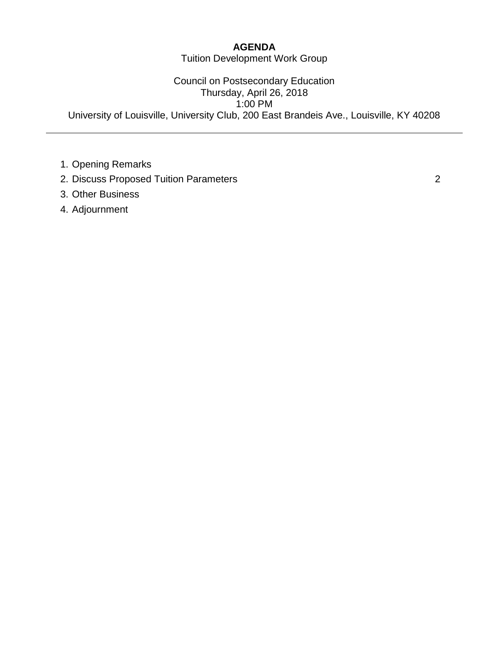#### **AGENDA**

Tuition Development Work Group

Council on Postsecondary Education Thursday, April 26, 2018 1:00 PM University of Louisville, University Club, 200 East Brandeis Ave., Louisville, KY 40208

- 1. Opening Remarks
- 2. Discuss Proposed Tuition Parameters 2
- 3. Other Business
- 4. Adjournment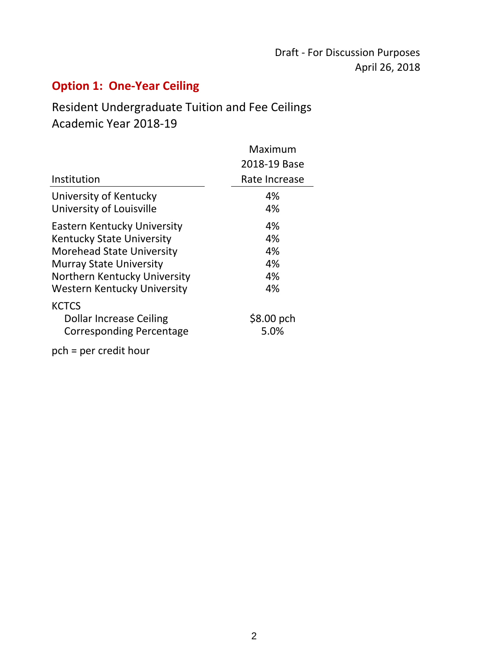## **Option 1: One‐Year Ceiling**

### Resident Undergraduate Tuition and Fee Ceilings Academic Year 2018‐19

|                                                                                                                                                                                                                    | Maximum                          |
|--------------------------------------------------------------------------------------------------------------------------------------------------------------------------------------------------------------------|----------------------------------|
|                                                                                                                                                                                                                    | 2018-19 Base                     |
| Institution                                                                                                                                                                                                        | Rate Increase                    |
| University of Kentucky<br>University of Louisville                                                                                                                                                                 | 4%<br>4%                         |
| <b>Eastern Kentucky University</b><br><b>Kentucky State University</b><br><b>Morehead State University</b><br><b>Murray State University</b><br>Northern Kentucky University<br><b>Western Kentucky University</b> | 4%<br>4%<br>4%<br>4%<br>4%<br>4% |
| <b>KCTCS</b><br>Dollar Increase Ceiling<br>Corresponding Percentage                                                                                                                                                | \$8.00~pch<br>5.0%               |
| pch = per credit hour                                                                                                                                                                                              |                                  |